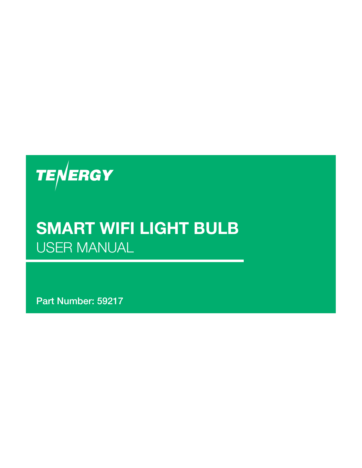

### **SMART WIFI LIGHT BULB** USER MANUAL

**Part Number: 59217**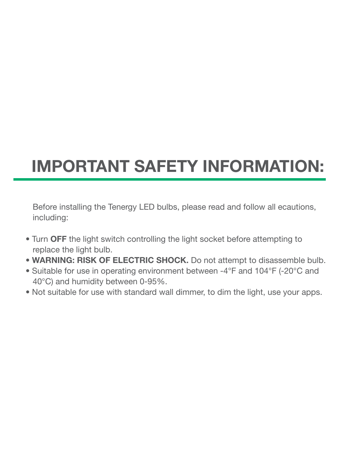## **IMPORTANT SAFETY INFORMATION:**

Before installing the Tenergy LED bulbs, please read and follow all ecautions, including:

- Turn **OFF** the light switch controlling the light socket before attempting to replace the light bulb.
- **WARNING: RISK OF ELECTRIC SHOCK.** Do not attempt to disassemble bulb.
- Suitable for use in operating environment between -4°F and 104°F (-20°C and 40°C) and humidity between 0-95%.
- Not suitable for use with standard wall dimmer, to dim the light, use your apps.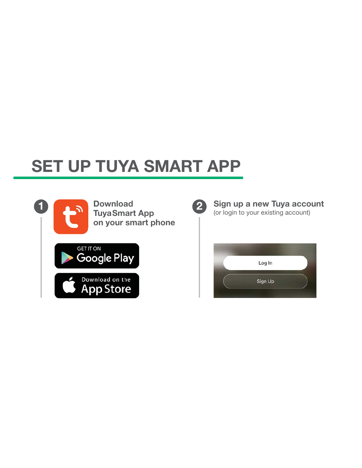## **SET UP TUYA SMART APP**



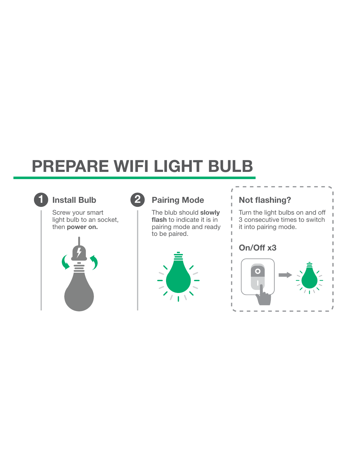## **PREPARE WIFI LIGHT BULB**



### **Install Bulb**

Screw your smart light bulb to an socket, then **power on.**





The blub should **slowly flash** to indicate it is in pairing mode and ready to be paired.





 $\sim$  $\sim$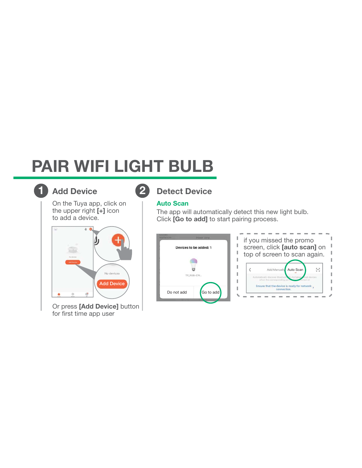## **PAIR WIFI LIGHT BULB**



### **Add Device**

On the Tuya app, click on the upper right **[+]** icon to add a device.



Or press **[Add Device]** button for first time app user

### **1 2 Detect Device**

#### **Auto Scan**

The app will automatically detect this new light bulb. Click **[Go to add]** to start pairing process.



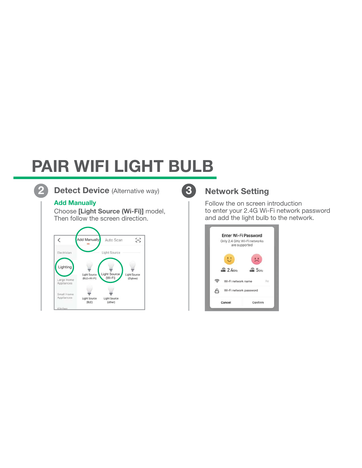# **PAIR WIFI LIGHT BULB**



**Detect Device** (Alternative way) **2 3**

#### **Add Manually**

Choose **[Light Source (Wi-Fi)]** model, Then follow the screen direction.



### **Network Setting**

Follow the on screen introduction to enter your 2.4G Wi-Fi network password and add the light bulb to the network.

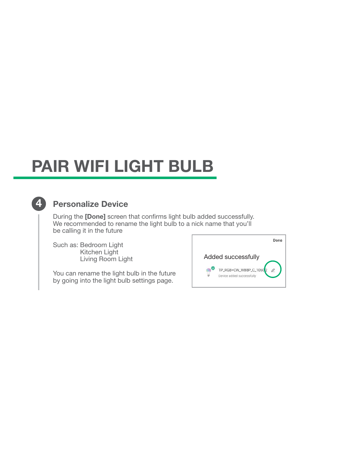## **PAIR WIFI LIGHT BULB**

#### **4 Personalize Device**

During the **[Done]** screen that confirms light bulb added successfully. We recommended to rename the light bulb to a nick name that you'll be calling it in the future

Such as: Bedroom Light Kitchen Light Living Room Light

You can rename the light bulb in the future by going into the light bulb settings page.

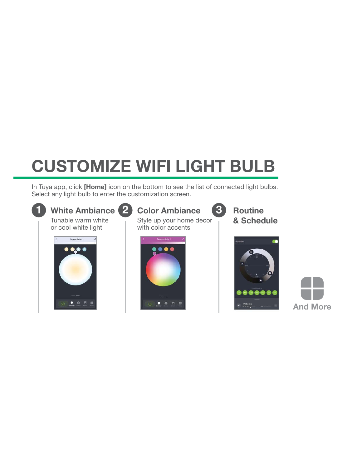# **CUSTOMIZE WIFI LIGHT BULB**

In Tuya app, click **[Home]** icon on the bottom to see the list of connected light bulbs. Select any light bulb to enter the customization screen.



Tunable warm white or cool white light



Style up your home decor with color accents **1 1 1 1 White Ambiance 2 Color Ambiance 3 Routine** 



**& Schedule**

**3**



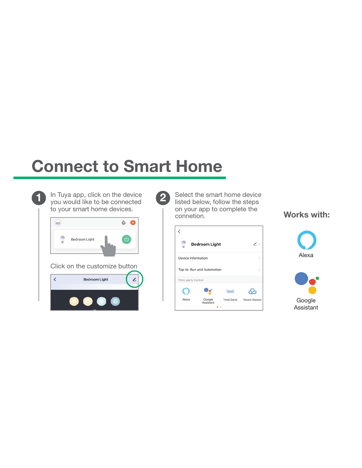### **Connect to Smart Home**



**1 D** In Tuya app, click on the device **2** you would like to be connected to your smart home devices.



Select the smart home device listed below, follow the steps on your app to complete the connetion.

| <b>Bedroom Light</b>      |                     |                    | $\overline{\phantom{a}}$ |
|---------------------------|---------------------|--------------------|--------------------------|
| Device Information        |                     |                    |                          |
| Tap-to-Run and Automation |                     |                    |                          |
| Third-party Control       |                     |                    |                          |
|                           |                     |                    |                          |
| Alexa                     | Google<br>Assistant | <b>Tmall Genie</b> | <b>Tecent Xiaowei</b>    |

**Works with:**



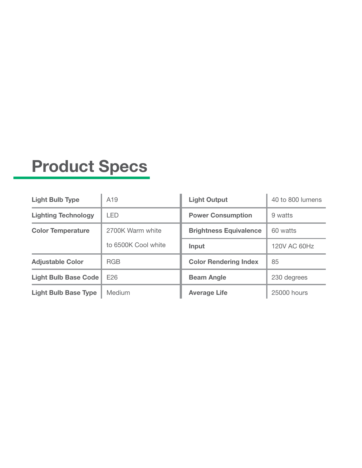### **Product Specs**

| <b>Light Bulb Type</b>      | A <sub>19</sub>     | <b>Light Output</b>           | 40 to 800 lumens |
|-----------------------------|---------------------|-------------------------------|------------------|
| <b>Lighting Technology</b>  | <b>LED</b>          | <b>Power Consumption</b>      | 9 watts          |
| <b>Color Temperature</b>    | 2700K Warm white    | <b>Brightness Equivalence</b> | 60 watts         |
|                             | to 6500K Cool white | Input                         | 120V AC 60Hz     |
| <b>Adjustable Color</b>     | <b>RGB</b>          | <b>Color Rendering Index</b>  | 85               |
| Light Bulb Base Code        | E <sub>26</sub>     | <b>Beam Angle</b>             | 230 degrees      |
| <b>Light Bulb Base Type</b> | Medium              | <b>Average Life</b>           | 25000 hours      |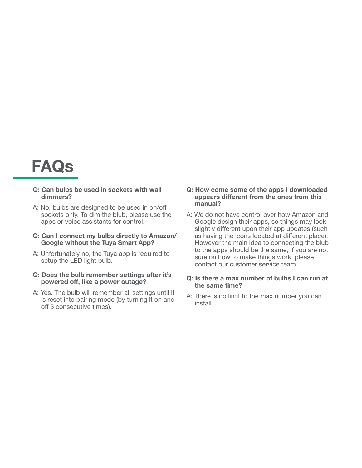

#### **Q: Can bulbs be used in sockets with wall dimmers?**

A: No, bulbs are designed to be used in on/off sockets only. To dim the blub, please use the apps or voice assistants for control.

#### **Q: Can I connect my bulbs directly to Amazon/ Google without the Tuya Smart App?**

A: Unfortunately no, the Tuya app is required to setup the LED light bulb.

#### **Q: Does the bulb remember settings after it's powered off, like a power outage?**

A: Yes. The bulb will remember all settings until it is reset into pairing mode (by turning it on and off 3 consecutive times).

#### **Q: How come some of the apps I downloaded appears different from the ones from this manual?**

A: We do not have control over how Amazon and Google design their apps, so things may look slightly different upon their app updates (such as having the icons located at different place). However the main idea to connecting the blub to the apps should be the same, if you are not sure on how to make things work, please contact our customer service team.

#### **Q: Is there a max number of bulbs I can run at the same time?**

A: There is no limit to the max number you can install.